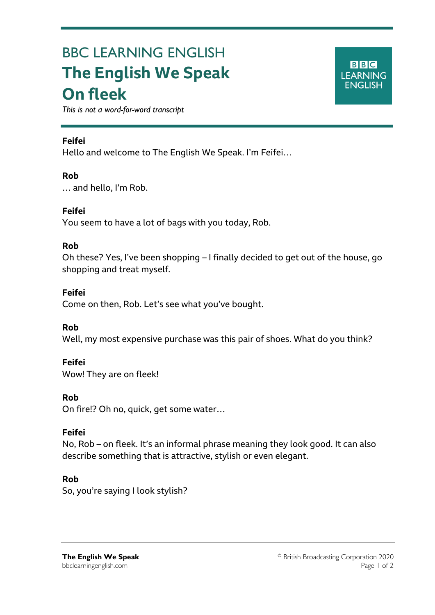# BBC LEARNING ENGLISH **The English We Speak On fleek**



*This is not a word-for-word transcript*

#### **Feifei**

Ξ

Hello and welcome to The English We Speak. I'm Feifei…

#### **Rob**

… and hello, I'm Rob.

#### **Feifei**

You seem to have a lot of bags with you today, Rob.

#### **Rob**

Oh these? Yes, I've been shopping – I finally decided to get out of the house, go shopping and treat myself.

# **Feifei**

Come on then, Rob. Let's see what you've bought.

# **Rob**

Well, my most expensive purchase was this pair of shoes. What do you think?

# **Feifei**

Wow! They are on fleek!

# **Rob**

On fire!? Oh no, quick, get some water…

# **Feifei**

No, Rob – on fleek. It's an informal phrase meaning they look good. It can also describe something that is attractive, stylish or even elegant.

# **Rob**

So, you're saying I look stylish?